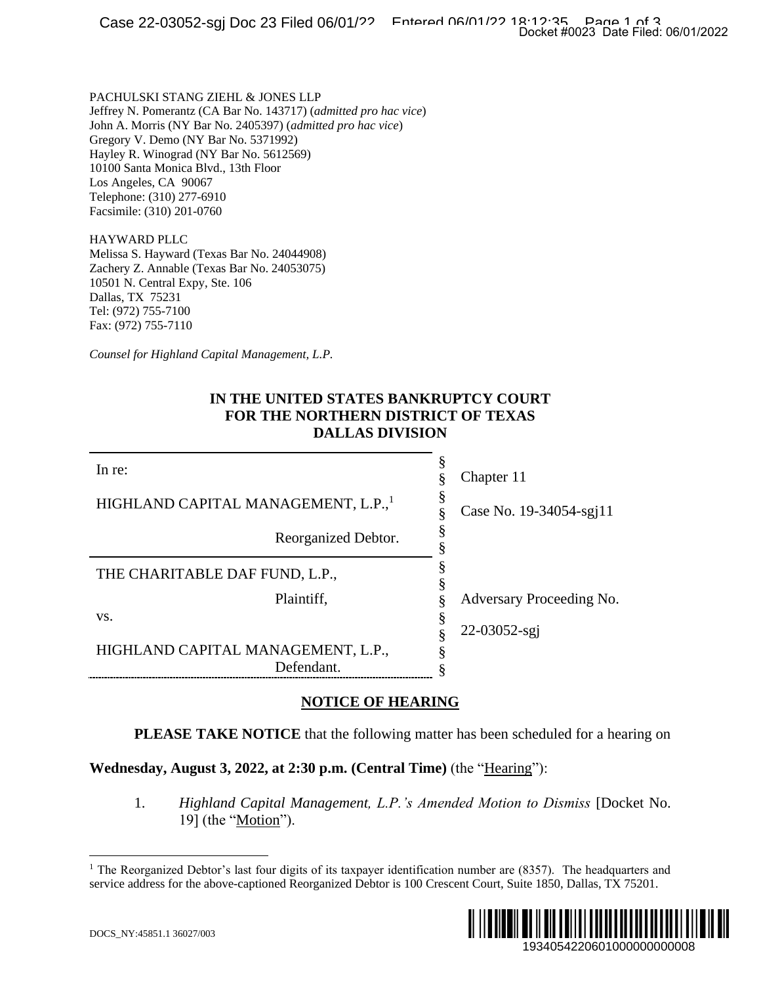### **IN THE UNITED STATES BANKRUPTCY COURT FOR THE NORTHERN DISTRICT OF TEXAS DALLAS DIVISION**

|                                                                                                                                                                                                                                                                                                                                                                                    | Docket #0023 Date Filed: 06/01/2022 |
|------------------------------------------------------------------------------------------------------------------------------------------------------------------------------------------------------------------------------------------------------------------------------------------------------------------------------------------------------------------------------------|-------------------------------------|
| PACHULSKI STANG ZIEHL & JONES LLP<br>Jeffrey N. Pomerantz (CA Bar No. 143717) (admitted pro hac vice)<br>John A. Morris (NY Bar No. 2405397) (admitted pro hac vice)<br>Gregory V. Demo (NY Bar No. 5371992)<br>Hayley R. Winograd (NY Bar No. 5612569)<br>10100 Santa Monica Blvd., 13th Floor<br>Los Angeles, CA 90067<br>Telephone: (310) 277-6910<br>Facsimile: (310) 201-0760 |                                     |
| HAYWARD PLLC<br>Melissa S. Hayward (Texas Bar No. 24044908)<br>Zachery Z. Annable (Texas Bar No. 24053075)<br>10501 N. Central Expy, Ste. 106<br>Dallas, TX 75231<br>Tel: (972) 755-7100<br>Fax: (972) 755-7110                                                                                                                                                                    |                                     |
| Counsel for Highland Capital Management, L.P.                                                                                                                                                                                                                                                                                                                                      |                                     |
| IN THE UNITED STATES BANKRUPTCY COURT<br>FOR THE NORTHERN DISTRICT OF TEXAS<br><b>DALLAS DIVISION</b>                                                                                                                                                                                                                                                                              |                                     |
| In re:                                                                                                                                                                                                                                                                                                                                                                             | §<br>Chapter 11<br>§                |
| HIGHLAND CAPITAL MANAGEMENT, L.P.,                                                                                                                                                                                                                                                                                                                                                 | Case No. 19-34054-sgi11<br>§        |
| Reorganized Debtor.                                                                                                                                                                                                                                                                                                                                                                | §                                   |
| THE CHARITABLE DAF FUND, L.P.,                                                                                                                                                                                                                                                                                                                                                     | §<br>§                              |
| Plaintiff,<br>VS.                                                                                                                                                                                                                                                                                                                                                                  | Adversary Proceeding No.<br>§       |
| HIGHLAND CAPITAL MANAGEMENT, L.P.,<br>Defendant.                                                                                                                                                                                                                                                                                                                                   | §<br>§<br>22-03052-sgj<br>§         |
| <b>NOTICE OF HEARING</b>                                                                                                                                                                                                                                                                                                                                                           |                                     |
| PLEASE TAKE NOTICE that the following matter has been scheduled for a hearing on                                                                                                                                                                                                                                                                                                   |                                     |
| Wednesday, August 3, 2022, at 2:30 p.m. (Central Time) (the "Hearing"):                                                                                                                                                                                                                                                                                                            |                                     |
| 1.<br>Highland Capital Management, L.P.'s Amended Motion to Dismiss [Docket No.<br>19] (the "Motion").                                                                                                                                                                                                                                                                             |                                     |
| <sup>1</sup> The Reorganized Debtor's last four digits of its taxpayer identification number are $(8357)$ . The headquarters and<br>service address for the above-captioned Reorganized Debtor is 100 Crescent Court, Suite 1850, Dallas, TX 75201.                                                                                                                                |                                     |
| DOCS_NY:45851.1 36027/003                                                                                                                                                                                                                                                                                                                                                          | 19340542206010000000000008          |

#### **NOTICE OF HEARING**

#### **Wednesday, August 3, 2022, at 2:30 p.m. (Central Time)** (the "Hearing"):

<sup>&</sup>lt;sup>1</sup> The Reorganized Debtor's last four digits of its taxpayer identification number are (8357). The headquarters and service address for the above-captioned Reorganized Debtor is 100 Crescent Court, Suite 1850, Dallas, TX 75201.

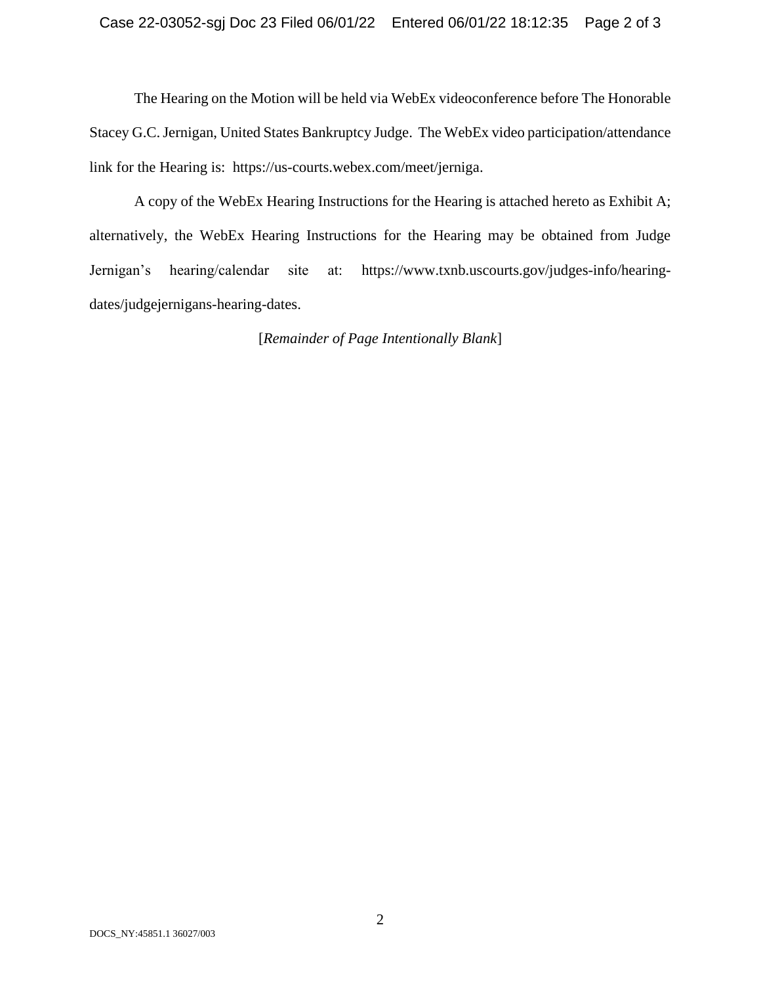The Hearing on the Motion will be held via WebEx videoconference before The Honorable Stacey G.C. Jernigan, United States Bankruptcy Judge. The WebEx video participation/attendance link for the Hearing is: https://us-courts.webex.com/meet/jerniga.

A copy of the WebEx Hearing Instructions for the Hearing is attached hereto as Exhibit A; alternatively, the WebEx Hearing Instructions for the Hearing may be obtained from Judge Jernigan's hearing/calendar site at: https://www.txnb.uscourts.gov/judges-info/hearingdates/judgejernigans-hearing-dates.

[*Remainder of Page Intentionally Blank*]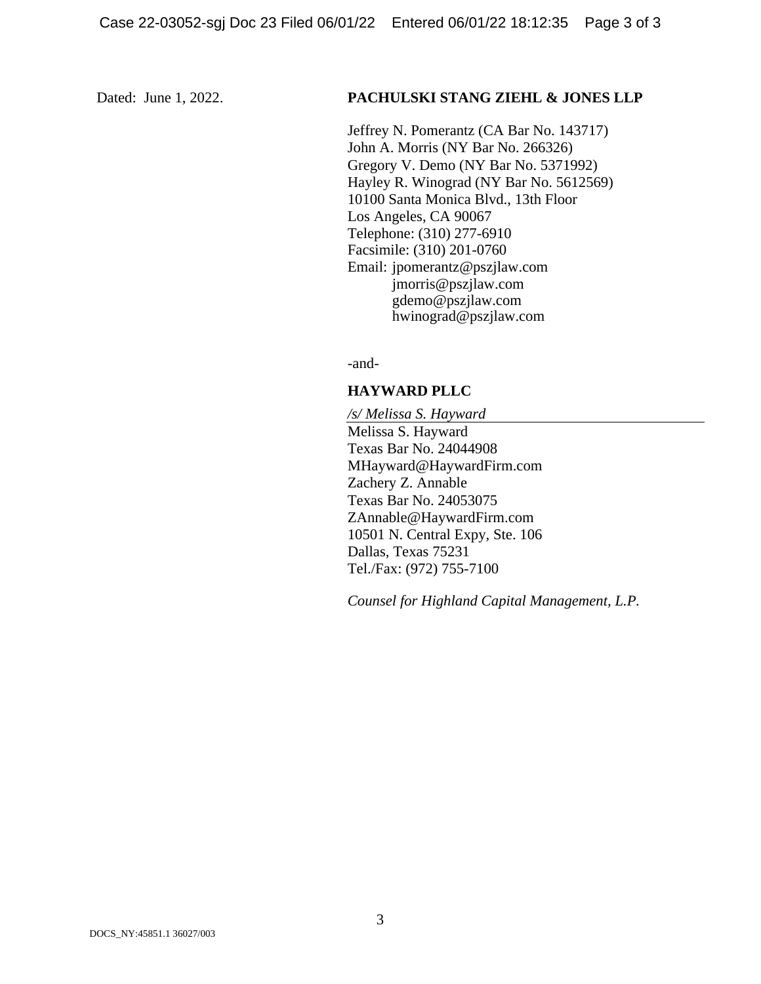#### Dated: June 1, 2022. **PACHULSKI STANG ZIEHL & JONES LLP**

Jeffrey N. Pomerantz (CA Bar No. 143717) John A. Morris (NY Bar No. 266326) Gregory V. Demo (NY Bar No. 5371992) Hayley R. Winograd (NY Bar No. 5612569) 10100 Santa Monica Blvd., 13th Floor Los Angeles, CA 90067 Telephone: (310) 277-6910 Facsimile: (310) 201-0760 Email: jpomerantz@pszjlaw.com jmorris@pszjlaw.com gdemo@pszjlaw.com hwinograd@pszjlaw.com

-and-

### **HAYWARD PLLC**

*/s/ Melissa S. Hayward* Melissa S. Hayward Texas Bar No. 24044908 MHayward@HaywardFirm.com Zachery Z. Annable Texas Bar No. 24053075 ZAnnable@HaywardFirm.com 10501 N. Central Expy, Ste. 106 Dallas, Texas 75231 Tel./Fax: (972) 755-7100

*Counsel for Highland Capital Management, L.P.*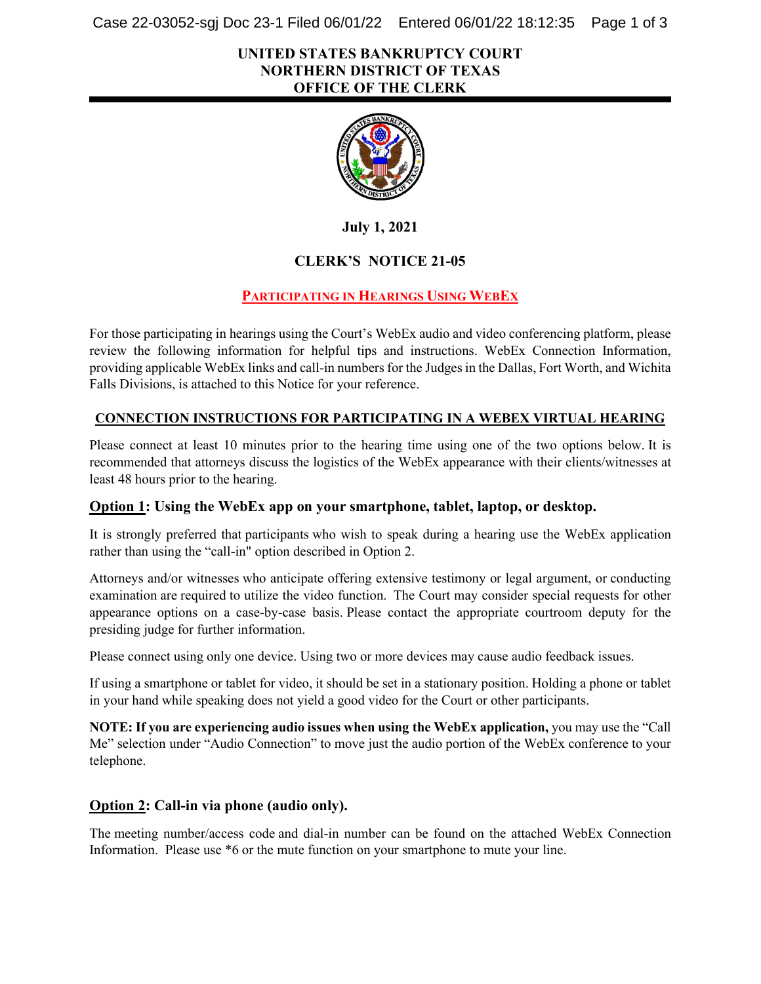Case 22-03052-sgj Doc 23-1 Filed 06/01/22 Entered 06/01/22 18:12:35 Page 1 of 3

#### **UNITED STATES BANKRUPTCY COURT NORTHERN DISTRICT OF TEXAS OFFICE OF THE CLERK**



**July 1, 2021**

## **CLERK'S NOTICE 21-05**

## **PARTICIPATING IN HEARINGS USING WEBEX**

For those participating in hearings using the Court's WebEx audio and video conferencing platform, please review the following information for helpful tips and instructions. WebEx Connection Information, providing applicable WebEx links and call-in numbersfor the Judges in the Dallas, Fort Worth, and Wichita Falls Divisions, is attached to this Notice for your reference.

#### **CONNECTION INSTRUCTIONS FOR PARTICIPATING IN A WEBEX VIRTUAL HEARING**

Please connect at least 10 minutes prior to the hearing time using one of the two options below. It is recommended that attorneys discuss the logistics of the WebEx appearance with their clients/witnesses at least 48 hours prior to the hearing.

#### **Option 1: Using the WebEx app on your smartphone, tablet, laptop, or desktop.**

It is strongly preferred that participants who wish to speak during a hearing use the WebEx application rather than using the "call-in" option described in Option 2.

Attorneys and/or witnesses who anticipate offering extensive testimony or legal argument, or conducting examination are required to utilize the video function. The Court may consider special requests for other appearance options on a case-by-case basis. Please contact the appropriate courtroom deputy for the presiding judge for further information.

Please connect using only one device. Using two or more devices may cause audio feedback issues.

If using a smartphone or tablet for video, it should be set in a stationary position. Holding a phone or tablet in your hand while speaking does not yield a good video for the Court or other participants.

**NOTE: If you are experiencing audio issues when using the WebEx application,** you may use the "Call Me" selection under "Audio Connection" to move just the audio portion of the WebEx conference to your telephone.

## **Option 2: Call-in via phone (audio only).**

The meeting number/access code and dial-in number can be found on the attached WebEx Connection Information. Please use \*6 or the mute function on your smartphone to mute your line.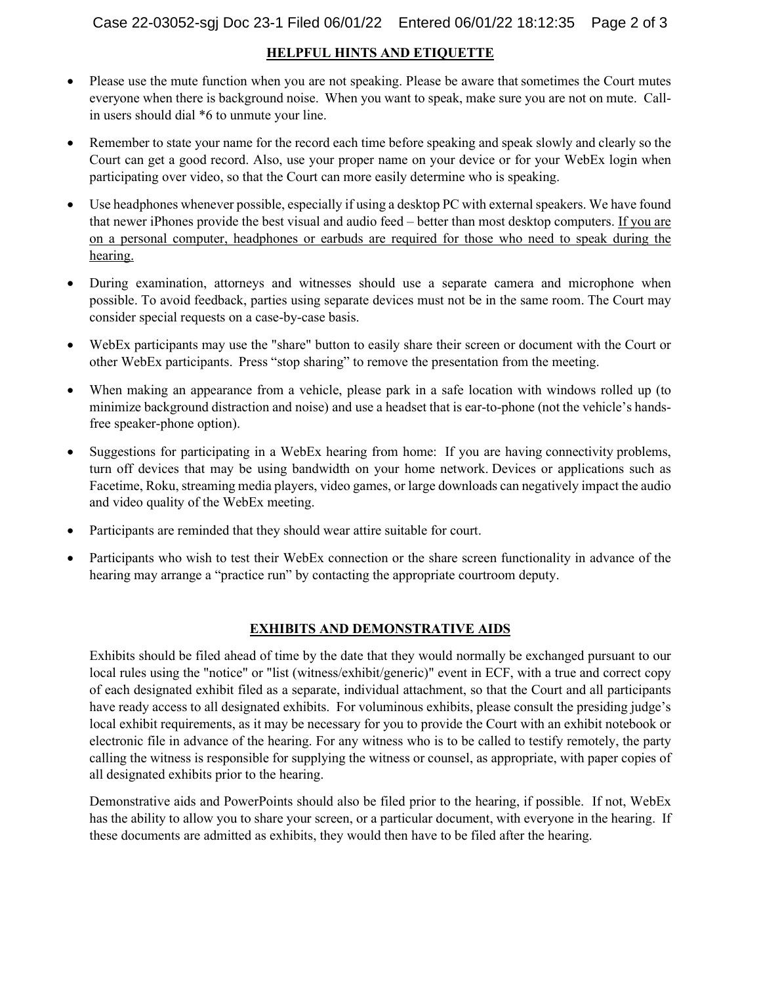#### **HELPFUL HINTS AND ETIQUETTE**

- Please use the mute function when you are not speaking. Please be aware that sometimes the Court mutes everyone when there is background noise.  When you want to speak, make sure you are not on mute. Callin users should dial \*6 to unmute your line.
- Remember to state your name for the record each time before speaking and speak slowly and clearly so the Court can get a good record. Also, use your proper name on your device or for your WebEx login when participating over video, so that the Court can more easily determine who is speaking.
- Use headphones whenever possible, especially if using a desktop PC with external speakers. We have found that newer iPhones provide the best visual and audio feed – better than most desktop computers. If you are on a personal computer, headphones or earbuds are required for those who need to speak during the hearing.
- During examination, attorneys and witnesses should use a separate camera and microphone when possible. To avoid feedback, parties using separate devices must not be in the same room. The Court may consider special requests on a case-by-case basis.
- WebEx participants may use the "share" button to easily share their screen or document with the Court or other WebEx participants.  Press "stop sharing" to remove the presentation from the meeting.
- When making an appearance from a vehicle, please park in a safe location with windows rolled up (to minimize background distraction and noise) and use a headset that is ear-to-phone (not the vehicle's handsfree speaker-phone option).
- Suggestions for participating in a WebEx hearing from home: If you are having connectivity problems, turn off devices that may be using bandwidth on your home network. Devices or applications such as Facetime, Roku, streaming media players, video games, or large downloads can negatively impact the audio and video quality of the WebEx meeting.
- Participants are reminded that they should wear attire suitable for court.
- Participants who wish to test their WebEx connection or the share screen functionality in advance of the hearing may arrange a "practice run" by contacting the appropriate courtroom deputy.

#### **EXHIBITS AND DEMONSTRATIVE AIDS**

Exhibits should be filed ahead of time by the date that they would normally be exchanged pursuant to our local rules using the "notice" or "list (witness/exhibit/generic)" event in ECF, with a true and correct copy of each designated exhibit filed as a separate, individual attachment, so that the Court and all participants have ready access to all designated exhibits. For voluminous exhibits, please consult the presiding judge's local exhibit requirements, as it may be necessary for you to provide the Court with an exhibit notebook or electronic file in advance of the hearing. For any witness who is to be called to testify remotely, the party calling the witness is responsible for supplying the witness or counsel, as appropriate, with paper copies of all designated exhibits prior to the hearing.

Demonstrative aids and PowerPoints should also be filed prior to the hearing, if possible. If not, WebEx has the ability to allow you to share your screen, or a particular document, with everyone in the hearing. If these documents are admitted as exhibits, they would then have to be filed after the hearing.